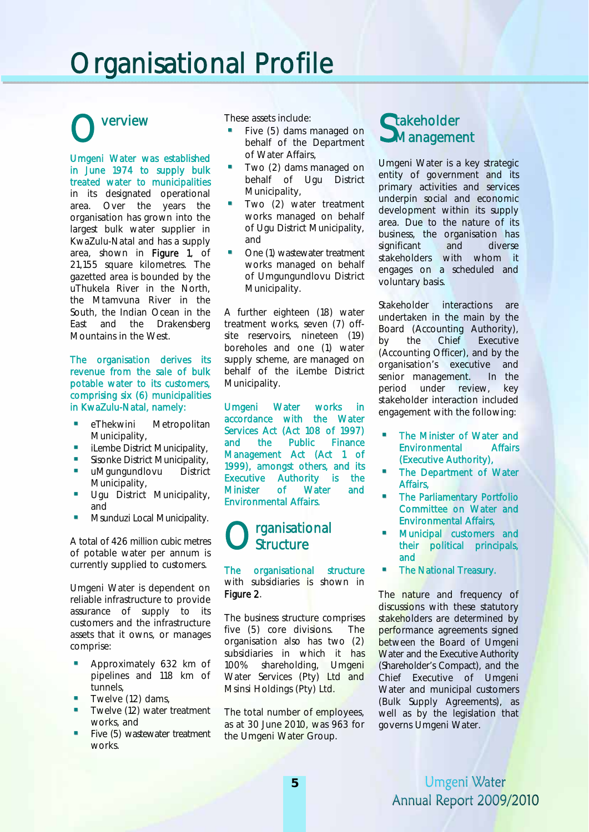# Organisational Profile

### verview O

Umgeni Water was established in June 1974 to supply bulk treated water to municipalities in its designated operational area. Over the years the organisation has grown into the largest bulk water supplier in KwaZulu-Natal and has a supply area, shown in Figure 1, of 21,155 square kilometres. The gazetted area is bounded by the uThukela River in the North, the Mtamvuna River in the South, the Indian Ocean in the East and the Drakensberg Mountains in the West.

#### The organisation derives its revenue from the sale of bulk potable water to its customers, comprising six (6) municipalities in KwaZulu-Natal, namely:

- eThekwini Metropolitan Municipality,
- iLembe District Municipality,
- Sisonke District Municipality,
- **uMgungundlovu** District Municipality,
- **Ugu District Municipality,** and
- Msunduzi Local Municipality.

A total of 426 million cubic metres of potable water per annum is currently supplied to customers.

Umgeni Water is dependent on reliable infrastructure to provide assurance of supply to its customers and the infrastructure assets that it owns, or manages comprise:

- Approximately 632 km of pipelines and 118 km of tunnels,
- Twelve (12) dams,
- Twelve (12) water treatment works, and
- **Five (5) wastewater treatment** works.

These assets include:

- Five (5) dams managed on behalf of the Department of Water Affairs,
- Two (2) dams managed on behalf of Ugu District Municipality,
- Two (2) water treatment works managed on behalf of Ugu District Municipality, and
- One (1) wastewater treatment works managed on behalf of Umgungundlovu District Municipality.

A further eighteen (18) water treatment works, seven (7) offsite reservoirs, nineteen (19) boreholes and one (1) water supply scheme, are managed on behalf of the iLembe District Municipality.

Umgeni Water works in accordance with the Water Services Act (Act 108 of 1997) and the Public Finance Management Act (Act 1 of 1999), amongst others, and its Executive Authority is the Minister of Water and Environmental Affairs.

#### O rganisational **Structure**

The organisational structure with subsidiaries is shown in Figure 2.

The business structure comprises five (5) core divisions. The organisation also has two (2) subsidiaries in which it has 100% shareholding, Umgeni Water Services (Pty) Ltd and Msinsi Holdings (Pty) Ltd.

The total number of employees, as at 30 June 2010, was 963 for the Umgeni Water Group.

### Stakeholder<br>SManageme **J**Management

Umgeni Water is a key strategic entity of government and its primary activities and services underpin social and economic development within its supply area. Due to the nature of its business, the organisation has significant and diverse stakeholders with whom it engages on a scheduled and voluntary basis.

Stakeholder interactions are undertaken in the main by the Board (Accounting Authority), by the Chief Executive (Accounting Officer), and by the organisation's executive and senior management. In the period under review, key stakeholder interaction included engagement with the following:

- The Minister of Water and Environmental Affairs (Executive Authority),
- The Department of Water Affairs,
- The Parliamentary Portfolio Committee on Water and Environmental Affairs,
- Municipal customers and their political principals, and
- The National Treasury.

The nature and frequency of discussions with these statutory stakeholders are determined by performance agreements signed between the Board of Umgeni Water and the Executive Authority (Shareholder's Compact), and the Chief Executive of Umgeni Water and municipal customers (Bulk Supply Agreements), as well as by the legislation that governs Umgeni Water.

#### Umgeni Water Annual Report 2009/2010